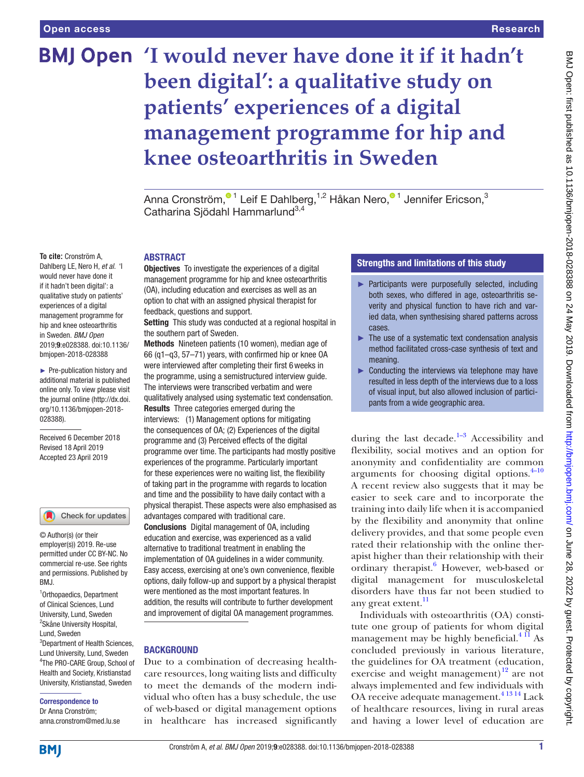# **'I would never have done it if it hadn't been digital': a qualitative study on patients' experiences of a digital management programme for hip and knee osteoarthritis in Sweden**

Anna Cronström[,](http://orcid.org/0000-0002-3850-7283)<sup>®1</sup> Leif E Dahlberg,<sup>1,2</sup> Håkan Nero,<sup>®1</sup> Jennifer Ericson,<sup>3</sup> Catharina Siödahl Hammarlund<sup>3,4</sup>

#### ABSTRACT

**Objectives** To investigate the experiences of a digital management programme for hip and knee osteoarthritis (OA), including education and exercises as well as an option to chat with an assigned physical therapist for feedback, questions and support.

Setting This study was conducted at a regional hospital in the southern part of Sweden.

Methods Nineteen patients (10 women), median age of 66 (q1–q3, 57–71) years, with confirmed hip or knee OA were interviewed after completing their first 6weeks in the programme, using a semistructured interview guide. The interviews were transcribed verbatim and were qualitatively analysed using systematic text condensation. Results Three categories emerged during the interviews: (1) Management options for mitigating the consequences of OA; (2) Experiences of the digital programme and (3) Perceived effects of the digital programme over time. The participants had mostly positive experiences of the programme. Particularly important for these experiences were no waiting list, the flexibility of taking part in the programme with regards to location and time and the possibility to have daily contact with a physical therapist. These aspects were also emphasised as advantages compared with traditional care. Conclusions Digital management of OA, including

education and exercise, was experienced as a valid alternative to traditional treatment in enabling the implementation of OA guidelines in a wider community. Easy access, exercising at one's own convenience, flexible options, daily follow-up and support by a physical therapist were mentioned as the most important features. In addition, the results will contribute to further development and improvement of digital OA management programmes.

# **BACKGROUND**

Due to a combination of decreasing healthcare resources, long waiting lists and difficulty to meet the demands of the modern individual who often has a busy schedule, the use of web-based or digital management options in healthcare has increased significantly

# Strengths and limitations of this study

- ► Participants were purposefully selected, including both sexes, who differed in age, osteoarthritis severity and physical function to have rich and varied data, when synthesising shared patterns across cases.
- $\blacktriangleright$  The use of a systematic text condensation analysis method facilitated cross-case synthesis of text and meaning.
- $\triangleright$  Conducting the interviews via telephone may have resulted in less depth of the interviews due to a loss of visual input, but also allowed inclusion of participants from a wide geographic area.

during the last decade. $1-3$  Accessibility and flexibility, social motives and an option for anonymity and confidentiality are common arguments for choosing digital options. $4-10$ A recent review also suggests that it may be easier to seek care and to incorporate the training into daily life when it is accompanied by the flexibility and anonymity that online delivery provides, and that some people even rated their relationship with the online therapist higher than their relationship with their ordinary therapist.<sup>[6](#page-7-2)</sup> However, web-based or digital management for musculoskeletal disorders have thus far not been studied to any great extent.<sup>[11](#page-7-3)</sup>

Individuals with osteoarthritis (OA) constitute one group of patients for whom digital management may be highly beneficial. $^{4}$ <sup>11</sup> As concluded previously in various literature, the guidelines for OA treatment (education, exercise and weight management) $^{12}$  are not always implemented and few individuals with OA receive adequate management.<sup>41314</sup> Lack of healthcare resources, living in rural areas and having a lower level of education are

**To cite:** Cronström A, Dahlberg LE, Nero H, *et al*. 'I would never have done it if it hadn't been digital': a qualitative study on patients' experiences of a digital management programme for hip and knee osteoarthritis in Sweden. *BMJ Open* 2019;9:e028388. doi:10.1136/ bmjopen-2018-028388

► Pre-publication history and additional material is published online only. To view please visit the journal online (http://dx.doi. org/10.1136/bmjopen-2018- 028388).

Received 6 December 2018 Revised 18 April 2019 Accepted 23 April 2019



© Author(s) (or their employer(s)) 2019. Re-use permitted under CC BY-NC. No commercial re-use. See rights and permissions. Published by RM<sub>J</sub>

1 Orthopaedics, Department of Clinical Sciences, Lund University, Lund, Sweden <sup>2</sup> Skåne University Hospital,

Lund, Sweden

3 Department of Health Sciences, Lund University, Lund, Sweden 4 The PRO-CARE Group, School of Health and Society, Kristianstad University, Kristianstad, Sweden

#### Correspondence to

Dr Anna Cronström; anna.cronstrom@med.lu.se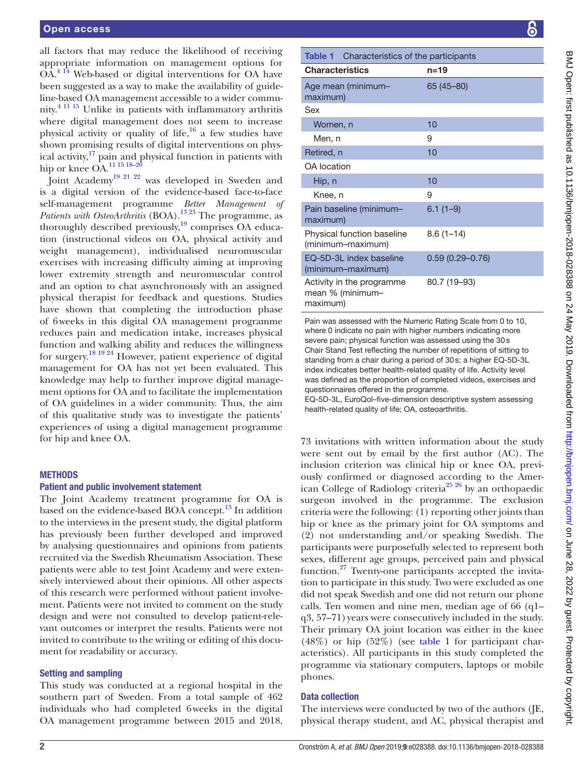all factors that may reduce the likelihood of receiving appropriate information on management options for OA.[4 14](#page-7-1) Web-based or digital interventions for OA have been suggested as a way to make the availability of guideline-based OA management accessible to a wider community.[4 11 15](#page-7-1) Unlike in patients with inflammatory arthritis where digital management does not seem to increase physical activity or quality of life, $16$  a few studies have shown promising results of digital interventions on physical activity, $17$  pain and physical function in patients with hip or knee OA.<sup>11 15 18-20</sup>

Joint Academy<sup>[19 21 22](#page-7-7)</sup> was developed in Sweden and is a digital version of the evidence-based face-to-face self-management programme *Better Management of Patients with OsteoArthritis* (BOA).<sup>13 23</sup> The programme, as thoroughly described previously, $\frac{19}{19}$  comprises OA education (instructional videos on OA, physical activity and weight management), individualised neuromuscular exercises with increasing difficulty aiming at improving lower extremity strength and neuromuscular control and an option to chat asynchronously with an assigned physical therapist for feedback and questions. Studies have shown that completing the introduction phase of 6weeks in this digital OA management programme reduces pain and medication intake, increases physical function and walking ability and reduces the willingness for surgery.[18 19 24](#page-7-9) However, patient experience of digital management for OA has not yet been evaluated. This knowledge may help to further improve digital management options for OA and to facilitate the implementation of OA guidelines in a wider community. Thus, the aim of this qualitative study was to investigate the patients' experiences of using a digital management programme for hip and knee OA.

# **METHODS**

#### Patient and public involvement statement

The Joint Academy treatment programme for OA is based on the evidence-based BOA concept.<sup>13</sup> In addition to the interviews in the present study, the digital platform has previously been further developed and improved by analysing questionnaires and opinions from patients recruited via the Swedish Rheumatism Association. These patients were able to test Joint Academy and were extensively interviewed about their opinions. All other aspects of this research were performed without patient involvement. Patients were not invited to comment on the study design and were not consulted to develop patient-relevant outcomes or interpret the results. Patients were not invited to contribute to the writing or editing of this document for readability or accuracy.

#### Setting and sampling

This study was conducted at a regional hospital in the southern part of Sweden. From a total sample of 462 individuals who had completed 6weeks in the digital OA management programme between 2015 and 2018,

<span id="page-1-0"></span>

| Characteristics of the participants<br>Table 1                                                                            |                     |
|---------------------------------------------------------------------------------------------------------------------------|---------------------|
| <b>Characteristics</b>                                                                                                    | $n=19$              |
| Age mean (minimum-<br>maximum)                                                                                            | 65 (45 - 80)        |
| Sex                                                                                                                       |                     |
| Women, n                                                                                                                  | 10                  |
| Men, n                                                                                                                    | 9                   |
| Retired, n                                                                                                                | 10                  |
| OA location                                                                                                               |                     |
| Hip, n                                                                                                                    | 10                  |
| Knee, n                                                                                                                   | 9                   |
| Pain baseline (minimum-<br>maximum)                                                                                       | $6.1(1-9)$          |
| Physical function baseline<br>(minimum-maximum)                                                                           | $8.6(1-14)$         |
| EQ-5D-3L index baseline<br>(minimum-maximum)                                                                              | $0.59(0.29 - 0.76)$ |
| Activity in the programme<br>mean % (minimum-<br>maximum)                                                                 | 80.7 (19-93)        |
| Pain was assessed with the Numeric Rating Scale from 0 to 10,<br>ukang Abalisata ng nginulith hinhay numbayo indiasting n |                     |

Pain wa where 0 indicate no pain with higher numbers indicating more severe pain; physical function was assessed using the 30s Chair Stand Test reflecting the number of repetitions of sitting to standing from a chair during a period of 30s; a higher EQ-5D-3L index indicates better health-related quality of life. Activity level was defined as the proportion of completed videos, exercises and questionnaires offered in the programme.

EQ-5D-3L, EuroQol–five-dimension descriptive system assessing health-related quality of life; OA, osteoarthritis.

73 invitations with written information about the study were sent out by email by the first author (AC). The inclusion criterion was clinical hip or knee OA, previously confirmed or diagnosed according to the American College of Radiology criteria<sup>25 26</sup> by an orthopaedic surgeon involved in the programme. The exclusion criteria were the following: (1) reporting other joints than hip or knee as the primary joint for OA symptoms and (2) not understanding and/or speaking Swedish. The participants were purposefully selected to represent both sexes, different age groups, perceived pain and physical function. $27$  Twenty-one participants accepted the invitation to participate in this study. Two were excluded as one did not speak Swedish and one did not return our phone calls. Ten women and nine men, median age of 66 (q1– q3, 57–71) years were consecutively included in the study. Their primary OA joint location was either in the knee (48%) or hip (52%) (see [table](#page-1-0) 1 for participant characteristics). All participants in this study completed the programme via stationary computers, laptops or mobile phones.

#### Data collection

The interviews were conducted by two of the authors (JE, physical therapy student, and AC, physical therapist and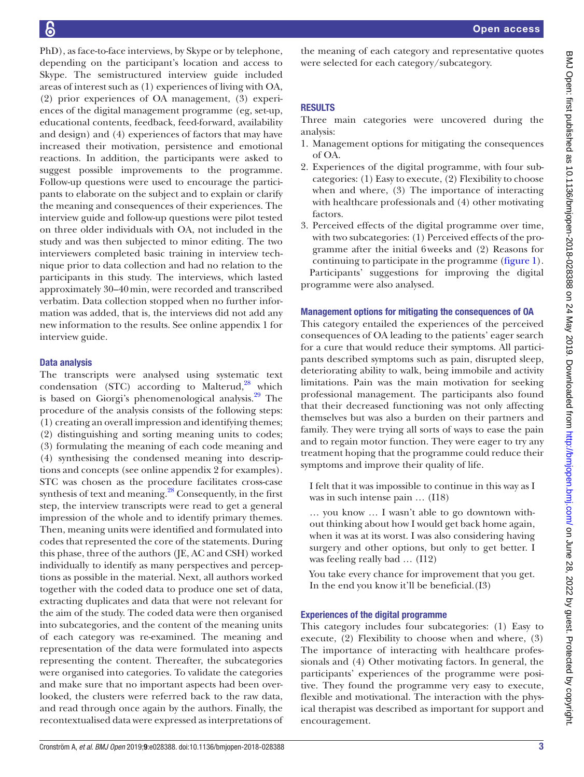PhD), as face-to-face interviews, by Skype or by telephone, depending on the participant's location and access to Skype. The semistructured interview guide included areas of interest such as (1) experiences of living with OA, (2) prior experiences of OA management, (3) experiences of the digital management programme (eg, set-up, educational contents, feedback, feed-forward, availability and design) and (4) experiences of factors that may have increased their motivation, persistence and emotional reactions. In addition, the participants were asked to suggest possible improvements to the programme. Follow-up questions were used to encourage the participants to elaborate on the subject and to explain or clarify the meaning and consequences of their experiences. The interview guide and follow-up questions were pilot tested on three older individuals with OA, not included in the study and was then subjected to minor editing. The two interviewers completed basic training in interview technique prior to data collection and had no relation to the participants in this study. The interviews, which lasted approximately 30–40min, were recorded and transcribed verbatim. Data collection stopped when no further information was added, that is, the interviews did not add any new information to the results. See [online appendix 1](https://dx.doi.org/10.1136/bmjopen-2018-028388) for interview guide.

# Data analysis

The transcripts were analysed using systematic text condensation (STC) according to Malterud, $^{28}$  which is based on Giorgi's phenomenological analysis.<sup>29</sup> The procedure of the analysis consists of the following steps: (1) creating an overall impression and identifying themes; (2) distinguishing and sorting meaning units to codes; (3) formulating the meaning of each code meaning and (4) synthesising the condensed meaning into descriptions and concepts (see [online appendix 2](https://dx.doi.org/10.1136/bmjopen-2018-028388) for examples). STC was chosen as the procedure facilitates cross-case synthesis of text and meaning. $28$  Consequently, in the first step, the interview transcripts were read to get a general impression of the whole and to identify primary themes. Then, meaning units were identified and formulated into codes that represented the core of the statements. During this phase, three of the authors (JE, AC and CSH) worked individually to identify as many perspectives and perceptions as possible in the material. Next, all authors worked together with the coded data to produce one set of data, extracting duplicates and data that were not relevant for the aim of the study. The coded data were then organised into subcategories, and the content of the meaning units of each category was re-examined. The meaning and representation of the data were formulated into aspects representing the content. Thereafter, the subcategories were organised into categories. To validate the categories and make sure that no important aspects had been overlooked, the clusters were referred back to the raw data, and read through once again by the authors. Finally, the recontextualised data were expressed as interpretations of the meaning of each category and representative quotes were selected for each category/subcategory.

# **RESULTS**

Three main categories were uncovered during the analysis:

- 1. Management options for mitigating the consequences of OA.
- 2. Experiences of the digital programme, with four subcategories: (1) Easy to execute, (2) Flexibility to choose when and where, (3) The importance of interacting with healthcare professionals and (4) other motivating factors.
- 3. Perceived effects of the digital programme over time, with two subcategories: (1) Perceived effects of the programme after the initial 6weeks and (2) Reasons for continuing to participate in the programme [\(figure](#page-3-0) 1). Participants' suggestions for improving the digital

programme were also analysed.

#### Management options for mitigating the consequences of OA

This category entailed the experiences of the perceived consequences of OA leading to the patients' eager search for a cure that would reduce their symptoms. All participants described symptoms such as pain, disrupted sleep, deteriorating ability to walk, being immobile and activity limitations. Pain was the main motivation for seeking professional management. The participants also found that their decreased functioning was not only affecting themselves but was also a burden on their partners and family. They were trying all sorts of ways to ease the pain and to regain motor function. They were eager to try any treatment hoping that the programme could reduce their symptoms and improve their quality of life.

I felt that it was impossible to continue in this way as I was in such intense pain … (I18)

… you know … I wasn't able to go downtown without thinking about how I would get back home again, when it was at its worst. I was also considering having surgery and other options, but only to get better. I was feeling really bad … (I12)

You take every chance for improvement that you get. In the end you know it'll be beneficial.(I3)

# Experiences of the digital programme

This category includes four subcategories: (1) Easy to execute, (2) Flexibility to choose when and where, (3) The importance of interacting with healthcare professionals and (4) Other motivating factors. In general, the participants' experiences of the programme were positive. They found the programme very easy to execute, flexible and motivational. The interaction with the physical therapist was described as important for support and encouragement.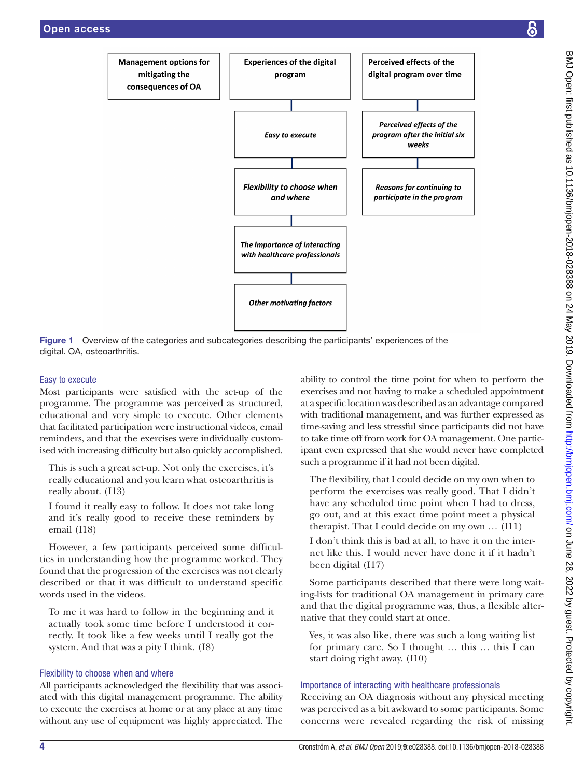

<span id="page-3-0"></span>Figure 1 Overview of the categories and subcategories describing the participants' experiences of the digital. OA, osteoarthritis.

# Easy to execute

Most participants were satisfied with the set-up of the programme. The programme was perceived as structured, educational and very simple to execute. Other elements that facilitated participation were instructional videos, email reminders, and that the exercises were individually customised with increasing difficulty but also quickly accomplished.

This is such a great set-up. Not only the exercises, it's really educational and you learn what osteoarthritis is really about. (I13)

I found it really easy to follow. It does not take long and it's really good to receive these reminders by email (I18)

However, a few participants perceived some difficulties in understanding how the programme worked. They found that the progression of the exercises was not clearly described or that it was difficult to understand specific words used in the videos.

To me it was hard to follow in the beginning and it actually took some time before I understood it correctly. It took like a few weeks until I really got the system. And that was a pity I think. (I8)

# Flexibility to choose when and where

All participants acknowledged the flexibility that was associated with this digital management programme. The ability to execute the exercises at home or at any place at any time without any use of equipment was highly appreciated. The

ability to control the time point for when to perform the exercises and not having to make a scheduled appointment at a specific location was described as an advantage compared with traditional management, and was further expressed as time-saving and less stressful since participants did not have to take time off from work for OA management. One participant even expressed that she would never have completed such a programme if it had not been digital.

The flexibility, that I could decide on my own when to perform the exercises was really good. That I didn't have any scheduled time point when I had to dress, go out, and at this exact time point meet a physical therapist. That I could decide on my own … (I11)

I don't think this is bad at all, to have it on the internet like this. I would never have done it if it hadn't been digital (I17)

Some participants described that there were long waiting-lists for traditional OA management in primary care and that the digital programme was, thus, a flexible alternative that they could start at once.

Yes, it was also like, there was such a long waiting list for primary care. So I thought … this … this I can start doing right away. (I10)

# Importance of interacting with healthcare professionals

Receiving an OA diagnosis without any physical meeting was perceived as a bit awkward to some participants. Some concerns were revealed regarding the risk of missing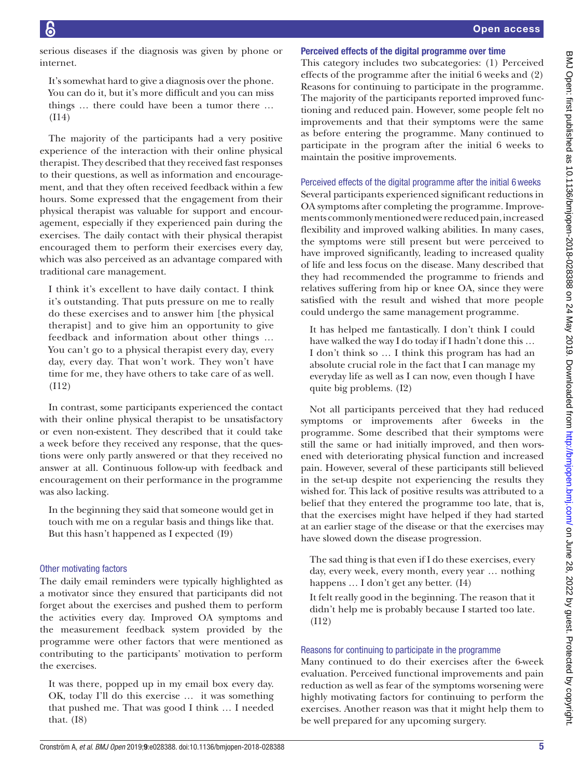serious diseases if the diagnosis was given by phone or internet.

It's somewhat hard to give a diagnosis over the phone. You can do it, but it's more difficult and you can miss things … there could have been a tumor there … (I14)

The majority of the participants had a very positive experience of the interaction with their online physical therapist. They described that they received fast responses to their questions, as well as information and encouragement, and that they often received feedback within a few hours. Some expressed that the engagement from their physical therapist was valuable for support and encouragement, especially if they experienced pain during the exercises. The daily contact with their physical therapist encouraged them to perform their exercises every day, which was also perceived as an advantage compared with traditional care management.

I think it's excellent to have daily contact. I think it's outstanding. That puts pressure on me to really do these exercises and to answer him [the physical therapist] and to give him an opportunity to give feedback and information about other things … You can't go to a physical therapist every day, every day, every day. That won't work. They won't have time for me, they have others to take care of as well. (I12)

In contrast, some participants experienced the contact with their online physical therapist to be unsatisfactory or even non-existent. They described that it could take a week before they received any response, that the questions were only partly answered or that they received no answer at all. Continuous follow-up with feedback and encouragement on their performance in the programme was also lacking.

In the beginning they said that someone would get in touch with me on a regular basis and things like that. But this hasn't happened as I expected (I9)

# Other motivating factors

The daily email reminders were typically highlighted as a motivator since they ensured that participants did not forget about the exercises and pushed them to perform the activities every day. Improved OA symptoms and the measurement feedback system provided by the programme were other factors that were mentioned as contributing to the participants' motivation to perform the exercises.

It was there, popped up in my email box every day. OK, today I'll do this exercise … it was something that pushed me. That was good I think … I needed that. (I8)

#### Perceived effects of the digital programme over time

This category includes two subcategories: (1) Perceived effects of the programme after the initial 6 weeks and (2) Reasons for continuing to participate in the programme. The majority of the participants reported improved functioning and reduced pain. However, some people felt no improvements and that their symptoms were the same as before entering the programme. Many continued to participate in the program after the initial 6 weeks to maintain the positive improvements.

Perceived effects of the digital programme after the initial 6 weeks Several participants experienced significant reductions in OA symptoms after completing the programme. Improvements commonly mentioned were reduced pain, increased flexibility and improved walking abilities. In many cases, the symptoms were still present but were perceived to have improved significantly, leading to increased quality of life and less focus on the disease. Many described that they had recommended the programme to friends and relatives suffering from hip or knee OA, since they were satisfied with the result and wished that more people could undergo the same management programme.

It has helped me fantastically. I don't think I could have walked the way I do today if I hadn't done this … I don't think so … I think this program has had an absolute crucial role in the fact that I can manage my everyday life as well as I can now, even though I have quite big problems. (I2)

Not all participants perceived that they had reduced symptoms or improvements after 6weeks in the programme. Some described that their symptoms were still the same or had initially improved, and then worsened with deteriorating physical function and increased pain. However, several of these participants still believed in the set-up despite not experiencing the results they wished for. This lack of positive results was attributed to a belief that they entered the programme too late, that is, that the exercises might have helped if they had started at an earlier stage of the disease or that the exercises may have slowed down the disease progression.

The sad thing is that even if I do these exercises, every day, every week, every month, every year … nothing happens … I don't get any better. (I4)

It felt really good in the beginning. The reason that it didn't help me is probably because I started too late. (I12)

#### Reasons for continuing to participate in the programme

Many continued to do their exercises after the 6-week evaluation. Perceived functional improvements and pain reduction as well as fear of the symptoms worsening were highly motivating factors for continuing to perform the exercises. Another reason was that it might help them to be well prepared for any upcoming surgery.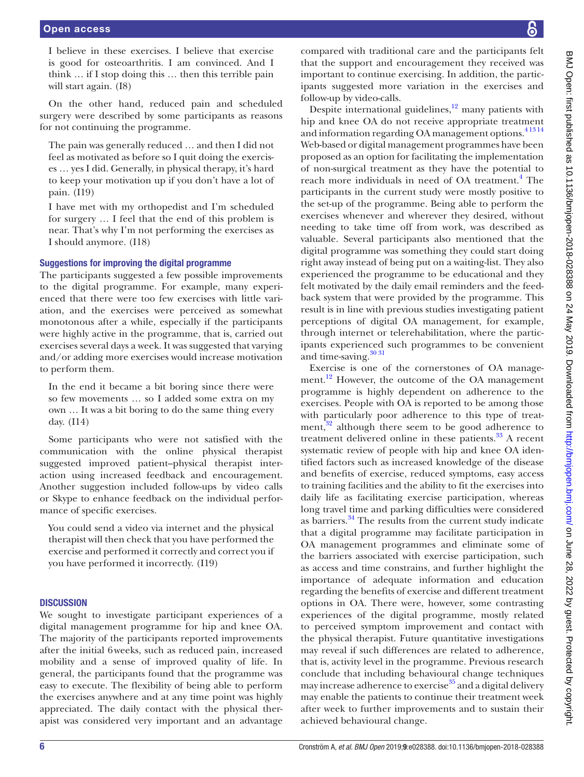I believe in these exercises. I believe that exercise is good for osteoarthritis. I am convinced. And I think … if I stop doing this … then this terrible pain will start again. (I8)

On the other hand, reduced pain and scheduled surgery were described by some participants as reasons for not continuing the programme.

The pain was generally reduced … and then I did not feel as motivated as before so I quit doing the exercises … yes I did. Generally, in physical therapy, it's hard to keep your motivation up if you don't have a lot of pain. (I19)

I have met with my orthopedist and I'm scheduled for surgery … I feel that the end of this problem is near. That's why I'm not performing the exercises as I should anymore. (I18)

#### Suggestions for improving the digital programme

The participants suggested a few possible improvements to the digital programme. For example, many experienced that there were too few exercises with little variation, and the exercises were perceived as somewhat monotonous after a while, especially if the participants were highly active in the programme, that is, carried out exercises several days a week. It was suggested that varying and/or adding more exercises would increase motivation to perform them.

In the end it became a bit boring since there were so few movements … so I added some extra on my own … It was a bit boring to do the same thing every day. (I14)

Some participants who were not satisfied with the communication with the online physical therapist suggested improved patient–physical therapist interaction using increased feedback and encouragement. Another suggestion included follow-ups by video calls or Skype to enhance feedback on the individual performance of specific exercises.

You could send a video via internet and the physical therapist will then check that you have performed the exercise and performed it correctly and correct you if you have performed it incorrectly. (I19)

#### **DISCUSSION**

We sought to investigate participant experiences of a digital management programme for hip and knee OA. The majority of the participants reported improvements after the initial 6weeks, such as reduced pain, increased mobility and a sense of improved quality of life. In general, the participants found that the programme was easy to execute. The flexibility of being able to perform the exercises anywhere and at any time point was highly appreciated. The daily contact with the physical therapist was considered very important and an advantage

compared with traditional care and the participants felt that the support and encouragement they received was important to continue exercising. In addition, the participants suggested more variation in the exercises and follow-up by video-calls.

Despite international guidelines, $12$  many patients with hip and knee OA do not receive appropriate treatment and information regarding OA management options.<sup>41314</sup> Web-based or digital management programmes have been proposed as an option for facilitating the implementation of non-surgical treatment as they have the potential to reach more individuals in need of OA treatment.<sup>[4](#page-7-1)</sup> The participants in the current study were mostly positive to the set-up of the programme. Being able to perform the exercises whenever and wherever they desired, without needing to take time off from work, was described as valuable. Several participants also mentioned that the digital programme was something they could start doing right away instead of being put on a waiting-list. They also experienced the programme to be educational and they felt motivated by the daily email reminders and the feedback system that were provided by the programme. This result is in line with previous studies investigating patient perceptions of digital OA management, for example, through internet or telerehabilitation, where the participants experienced such programmes to be convenient and time-saving.<sup>[30 31](#page-7-14)</sup>

Exercise is one of the cornerstones of OA management.<sup>12</sup> However, the outcome of the OA management programme is highly dependent on adherence to the exercises. People with OA is reported to be among those with particularly poor adherence to this type of treatment, $32$  although there seem to be good adherence to treatment delivered online in these patients. $33$  A recent systematic review of people with hip and knee OA identified factors such as increased knowledge of the disease and benefits of exercise, reduced symptoms, easy access to training facilities and the ability to fit the exercises into daily life as facilitating exercise participation, whereas long travel time and parking difficulties were considered as barriers.<sup>34</sup> The results from the current study indicate that a digital programme may facilitate participation in OA management programmes and eliminate some of the barriers associated with exercise participation, such as access and time constrains, and further highlight the importance of adequate information and education regarding the benefits of exercise and different treatment options in OA. There were, however, some contrasting experiences of the digital programme, mostly related to perceived symptom improvement and contact with the physical therapist. Future quantitative investigations may reveal if such differences are related to adherence, that is, activity level in the programme. Previous research conclude that including behavioural change techniques may increase adherence to exercise<sup>35</sup> and a digital delivery may enable the patients to continue their treatment week after week to further improvements and to sustain their achieved behavioural change.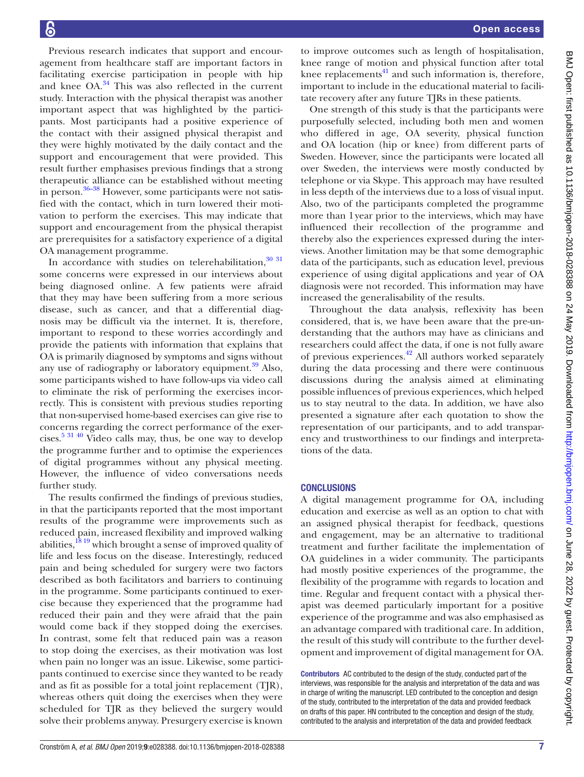Previous research indicates that support and encouragement from healthcare staff are important factors in facilitating exercise participation in people with hip and knee  $OA^{34}$ . This was also reflected in the current study. Interaction with the physical therapist was another important aspect that was highlighted by the participants. Most participants had a positive experience of the contact with their assigned physical therapist and they were highly motivated by the daily contact and the support and encouragement that were provided. This result further emphasises previous findings that a strong therapeutic alliance can be established without meeting in person.<sup>36–38</sup> However, some participants were not satisfied with the contact, which in turn lowered their motivation to perform the exercises. This may indicate that support and encouragement from the physical therapist are prerequisites for a satisfactory experience of a digital OA management programme.

In accordance with studies on telerehabilitation, 30 31 some concerns were expressed in our interviews about being diagnosed online. A few patients were afraid that they may have been suffering from a more serious disease, such as cancer, and that a differential diagnosis may be difficult via the internet. It is, therefore, important to respond to these worries accordingly and provide the patients with information that explains that OA is primarily diagnosed by symptoms and signs without any use of radiography or laboratory equipment. $39$  Also, some participants wished to have follow-ups via video call to eliminate the risk of performing the exercises incorrectly. This is consistent with previous studies reporting that non-supervised home-based exercises can give rise to concerns regarding the correct performance of the exercises. $5\frac{31\,40}{10}$  Video calls may, thus, be one way to develop the programme further and to optimise the experiences of digital programmes without any physical meeting. However, the influence of video conversations needs further study.

The results confirmed the findings of previous studies, in that the participants reported that the most important results of the programme were improvements such as reduced pain, increased flexibility and improved walking abilities, $1819$  which brought a sense of improved quality of life and less focus on the disease. Interestingly, reduced pain and being scheduled for surgery were two factors described as both facilitators and barriers to continuing in the programme. Some participants continued to exercise because they experienced that the programme had reduced their pain and they were afraid that the pain would come back if they stopped doing the exercises. In contrast, some felt that reduced pain was a reason to stop doing the exercises, as their motivation was lost when pain no longer was an issue. Likewise, some participants continued to exercise since they wanted to be ready and as fit as possible for a total joint replacement (TJR), whereas others quit doing the exercises when they were scheduled for TJR as they believed the surgery would solve their problems anyway. Presurgery exercise is known

to improve outcomes such as length of hospitalisation, knee range of motion and physical function after total knee replacements $41$  and such information is, therefore, important to include in the educational material to facilitate recovery after any future TJRs in these patients.

One strength of this study is that the participants were purposefully selected, including both men and women who differed in age, OA severity, physical function and OA location (hip or knee) from different parts of Sweden. However, since the participants were located all over Sweden, the interviews were mostly conducted by telephone or via Skype. This approach may have resulted in less depth of the interviews due to a loss of visual input. Also, two of the participants completed the programme more than 1year prior to the interviews, which may have influenced their recollection of the programme and thereby also the experiences expressed during the interviews. Another limitation may be that some demographic data of the participants, such as education level, previous experience of using digital applications and year of OA diagnosis were not recorded. This information may have increased the generalisability of the results.

Throughout the data analysis, reflexivity has been considered, that is, we have been aware that the pre-understanding that the authors may have as clinicians and researchers could affect the data, if one is not fully aware of previous experiences.[42](#page-8-2) All authors worked separately during the data processing and there were continuous discussions during the analysis aimed at eliminating possible influences of previous experiences, which helped us to stay neutral to the data. In addition, we have also presented a signature after each quotation to show the representation of our participants, and to add transparency and trustworthiness to our findings and interpretations of the data.

# **CONCLUSIONS**

A digital management programme for OA, including education and exercise as well as an option to chat with an assigned physical therapist for feedback, questions and engagement, may be an alternative to traditional treatment and further facilitate the implementation of OA guidelines in a wider community. The participants had mostly positive experiences of the programme, the flexibility of the programme with regards to location and time. Regular and frequent contact with a physical therapist was deemed particularly important for a positive experience of the programme and was also emphasised as an advantage compared with traditional care. In addition, the result of this study will contribute to the further development and improvement of digital management for OA.

Contributors AC contributed to the design of the study, conducted part of the interviews, was responsible for the analysis and interpretation of the data and was in charge of writing the manuscript. LED contributed to the conception and design of the study, contributed to the interpretation of the data and provided feedback on drafts of this paper. HN contributed to the conception and design of the study, contributed to the analysis and interpretation of the data and provided feedback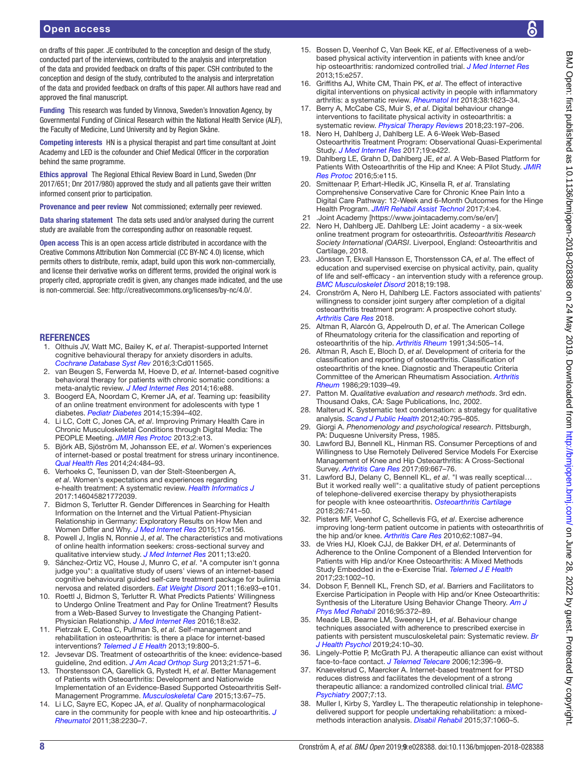on drafts of this paper. JE contributed to the conception and design of the study, conducted part of the interviews, contributed to the analysis and interpretation of the data and provided feedback on drafts of this paper. CSH contributed to the conception and design of the study, contributed to the analysis and interpretation of the data and provided feedback on drafts of this paper. All authors have read and approved the final manuscript.

Funding This research was funded by Vinnova, Sweden's Innovation Agency, by Governmental Funding of Clinical Research within the National Health Service (ALF), the Faculty of Medicine, Lund University and by Region Skåne.

Competing interests HN is a physical therapist and part time consultant at Joint Academy and LED is the cofounder and Chief Medical Officer in the corporation behind the same programme.

Ethics approval The Regional Ethical Review Board in Lund, Sweden (Dnr 2017/651; Dnr 2017/980) approved the study and all patients gave their written informed consent prior to participation.

Provenance and peer review Not commissioned; externally peer reviewed.

Data sharing statement The data sets used and/or analysed during the current study are available from the corresponding author on reasonable request.

Open access This is an open access article distributed in accordance with the Creative Commons Attribution Non Commercial (CC BY-NC 4.0) license, which permits others to distribute, remix, adapt, build upon this work non-commercially, and license their derivative works on different terms, provided the original work is properly cited, appropriate credit is given, any changes made indicated, and the use is non-commercial. See: <http://creativecommons.org/licenses/by-nc/4.0/>.

#### **REFERENCES**

- <span id="page-7-0"></span>1. Olthuis JV, Watt MC, Bailey K, *et al*. Therapist-supported Internet cognitive behavioural therapy for anxiety disorders in adults. *[Cochrane Database Syst Rev](http://dx.doi.org/10.1002/14651858.CD011565.pub2)* 2016;3:Cd011565.
- 2. van Beugen S, Ferwerda M, Hoeve D, *et al*. Internet-based cognitive behavioral therapy for patients with chronic somatic conditions: a meta-analytic review. *[J Med Internet Res](http://dx.doi.org/10.2196/jmir.2777)* 2014;16:e88.
- 3. Boogerd EA, Noordam C, Kremer JA, *et al*. Teaming up: feasibility of an online treatment environment for adolescents with type 1 diabetes. *[Pediatr Diabetes](http://dx.doi.org/10.1111/pedi.12103)* 2014;15:394–402.
- <span id="page-7-1"></span>4. Li LC, Cott C, Jones CA, *et al*. Improving Primary Health Care in Chronic Musculoskeletal Conditions through Digital Media: The PEOPLE Meeting. *[JMIR Res Protoc](http://dx.doi.org/10.2196/resprot.2267)* 2013;2:e13.
- <span id="page-7-20"></span>5. Björk AB, Sjöström M, Johansson EE, *et al*. Women's experiences of internet-based or postal treatment for stress urinary incontinence. *[Qual Health Res](http://dx.doi.org/10.1177/1049732314524486)* 2014;24:484–93.
- <span id="page-7-2"></span>6. Verhoeks C, Teunissen D, van der Stelt-Steenbergen A, *et al*. Women's expectations and experiences regarding e-health treatment: A systematic review. *[Health Informatics J](http://dx.doi.org/10.1177/1460458217720394)* 2017:146045821772039.
- 7. Bidmon S, Terlutter R. Gender Differences in Searching for Health Information on the Internet and the Virtual Patient-Physician Relationship in Germany: Exploratory Results on How Men and Women Differ and Why. *[J Med Internet Res](http://dx.doi.org/10.2196/jmir.4127)* 2015;17:e156.
- 8. Powell J, Inglis N, Ronnie J, *et al*. The characteristics and motivations of online health information seekers: cross-sectional survey and qualitative interview study. *[J Med Internet Res](http://dx.doi.org/10.2196/jmir.1600)* 2011;13:e20.
- 9. Sánchez-Ortiz VC, House J, Munro C, *et al*. "A computer isn't gonna judge you": a qualitative study of users' views of an internet-based cognitive behavioural guided self-care treatment package for bulimia nervosa and related disorders. *[Eat Weight Disord](http://dx.doi.org/10.1007/BF03325314)* 2011;16:e93–e101.
- 10. Roettl J, Bidmon S, Terlutter R. What Predicts Patients' Willingness to Undergo Online Treatment and Pay for Online Treatment? Results from a Web-Based Survey to Investigate the Changing Patient-Physician Relationship. *[J Med Internet Res](http://dx.doi.org/10.2196/jmir.5244)* 2016;18:e32.
- <span id="page-7-3"></span>11. Pietrzak E, Cotea C, Pullman S, *et al*. Self-management and rehabilitation in osteoarthritis: is there a place for internet-based interventions? *[Telemed J E Health](http://dx.doi.org/10.1089/tmj.2012.0288)* 2013;19:800–5.
- <span id="page-7-4"></span>12. Jevsevar DS. Treatment of osteoarthritis of the knee: evidence-based guideline, 2nd edition. *[J Am Acad Orthop Surg](http://dx.doi.org/10.5435/JAAOS-21-09-571)* 2013;21:571–6.
- <span id="page-7-8"></span>13. Thorstensson CA, Garellick G, Rystedt H, *et al*. Better Management of Patients with Osteoarthritis: Development and Nationwide Implementation of an Evidence-Based Supported Osteoarthritis Self-Management Programme. *[Musculoskeletal Care](http://dx.doi.org/10.1002/msc.1085)* 2015;13:67–75.
- 14. Li LC, Sayre EC, Kopec JA, *et al*. Quality of nonpharmacological care in the community for people with knee and hip osteoarthritis. *[J](http://dx.doi.org/10.3899/jrheum.110264)  [Rheumatol](http://dx.doi.org/10.3899/jrheum.110264)* 2011;38:2230–7.
- 15. Bossen D, Veenhof C, Van Beek KE, *et al*. Effectiveness of a webbased physical activity intervention in patients with knee and/or hip osteoarthritis: randomized controlled trial. *[J Med Internet Res](http://dx.doi.org/10.2196/jmir.2662)* 2013;15:e257.
- <span id="page-7-5"></span>16. Griffiths AJ, White CM, Thain PK, *et al*. The effect of interactive digital interventions on physical activity in people with inflammatory arthritis: a systematic review. *[Rheumatol Int](http://dx.doi.org/10.1007/s00296-018-4010-8)* 2018;38:1623–34.
- <span id="page-7-6"></span>17. Berry A, McCabe CS, Muir S, *et al*. Digital behaviour change interventions to facilitate physical activity in osteoarthritis: a systematic review. *[Physical Therapy Reviews](http://dx.doi.org/10.1080/10833196.2018.1470747)* 2018;23:197–206.
- <span id="page-7-9"></span>18. Nero H, Dahlberg J, Dahlberg LE. A 6-Week Web-Based Osteoarthritis Treatment Program: Observational Quasi-Experimental Study. *[J Med Internet Res](http://dx.doi.org/10.2196/jmir.9255)* 2017;19:e422.
- <span id="page-7-7"></span>19. Dahlberg LE, Grahn D, Dahlberg JE, *et al*. A Web-Based Platform for Patients With Osteoarthritis of the Hip and Knee: A Pilot Study. *[JMIR](http://dx.doi.org/10.2196/resprot.5665)  [Res Protoc](http://dx.doi.org/10.2196/resprot.5665)* 2016;5:e115.
- 20. Smittenaar P, Erhart-Hledik JC, Kinsella R, *et al*. Translating Comprehensive Conservative Care for Chronic Knee Pain Into a Digital Care Pathway: 12-Week and 6-Month Outcomes for the Hinge Health Program. *[JMIR Rehabil Assist Technol](http://dx.doi.org/10.2196/rehab.7258)* 2017;4:e4.
- 21 .Joint Academy [<https://www.jointacademy.com/se/en/>]<br>22 Nero H. Dablberg JE Dablberg LE: Joint academy a sit
- Nero H, Dahlberg JE. Dahlberg LE: Joint academy a six-week online treatment program for osteoarthritis. *Osteoarthritis Research Society International (OARSI*. Liverpool, England: Osteoarthritis and Cartilage, 2018.
- 23. Jönsson T, Ekvall Hansson E, Thorstensson CA, *et al*. The effect of education and supervised exercise on physical activity, pain, quality of life and self-efficacy - an intervention study with a reference group. *[BMC Musculoskelet Disord](http://dx.doi.org/10.1186/s12891-018-2098-3)* 2018;19:198.
- 24. Cronström A, Nero H, Dahlberg LE. Factors associated with patients' willingness to consider joint surgery after completion of a digital osteoarthritis treatment program: A prospective cohort study. *[Arthritis Care Res](http://dx.doi.org/10.1002/acr.23772)* 2018.
- <span id="page-7-10"></span>25. Altman R, Alarcón G, Appelrouth D, *et al*. The American College of Rheumatology criteria for the classification and reporting of osteoarthritis of the hip. *[Arthritis Rheum](http://dx.doi.org/10.1002/art.1780340502)* 1991;34:505–14.
- 26. Altman R, Asch E, Bloch D, *et al*. Development of criteria for the classification and reporting of osteoarthritis. Classification of osteoarthritis of the knee. Diagnostic and Therapeutic Criteria Committee of the American Rheumatism Association. *[Arthritis](http://www.ncbi.nlm.nih.gov/pubmed/3741515)  [Rheum](http://www.ncbi.nlm.nih.gov/pubmed/3741515)* 1986;29:1039–49.
- <span id="page-7-11"></span>27. Patton M. *Qualitative evaluation and research methods*. 3rd edn. Thousand Oaks, CA: Sage Publications, Inc, 2002.
- <span id="page-7-12"></span>28. Malterud K. Systematic text condensation: a strategy for qualitative analysis. *[Scand J Public Health](http://dx.doi.org/10.1177/1403494812465030)* 2012;40:795–805.
- <span id="page-7-13"></span>29. Giorgi A. *Phenomenology and psychological research*. Pittsburgh, PA: Duquesne University Press, 1985.
- <span id="page-7-14"></span>30. Lawford BJ, Bennell KL, Hinman RS. Consumer Perceptions of and Willingness to Use Remotely Delivered Service Models For Exercise Management of Knee and Hip Osteoarthritis: A Cross-Sectional Survey. *[Arthritis Care Res](http://dx.doi.org/10.1002/acr.23122)* 2017;69:667–76.
- 31. Lawford BJ, Delany C, Bennell KL, *et al*. "I was really sceptical… But it worked really well": a qualitative study of patient perceptions of telephone-delivered exercise therapy by physiotherapists for people with knee osteoarthritis. *[Osteoarthritis Cartilage](http://dx.doi.org/10.1016/j.joca.2018.02.909)* 2018;26:741–50.
- <span id="page-7-15"></span>32. Pisters MF, Veenhof C, Schellevis FG, *et al*. Exercise adherence improving long-term patient outcome in patients with osteoarthritis of the hip and/or knee. *[Arthritis Care Res](http://dx.doi.org/10.1002/acr.20182)* 2010;62:1087–94.
- <span id="page-7-16"></span>33. de Vries HJ, Kloek CJJ, de Bakker DH, *et al*. Determinants of Adherence to the Online Component of a Blended Intervention for Patients with Hip and/or Knee Osteoarthritis: A Mixed Methods Study Embedded in the e-Exercise Trial. *[Telemed J E Health](http://dx.doi.org/10.1089/tmj.2016.0264)* 2017;23:1002–10.
- <span id="page-7-17"></span>34. Dobson F, Bennell KL, French SD, *et al*. Barriers and Facilitators to Exercise Participation in People with Hip and/or Knee Osteoarthritis: Synthesis of the Literature Using Behavior Change Theory. *[Am J](http://dx.doi.org/10.1097/PHM.0000000000000448)  [Phys Med Rehabil](http://dx.doi.org/10.1097/PHM.0000000000000448)* 2016;95:372–89.
- <span id="page-7-18"></span>35. Meade LB, Bearne LM, Sweeney LH, *et al*. Behaviour change techniques associated with adherence to prescribed exercise in patients with persistent musculoskeletal pain: Systematic review. *[Br](http://dx.doi.org/10.1111/bjhp.12324)  [J Health Psychol](http://dx.doi.org/10.1111/bjhp.12324)* 2019;24:10–30.
- <span id="page-7-19"></span>36. Lingely-Pottie P, McGrath PJ. A therapeutic alliance can exist without face-to-face contact. *[J Telemed Telecare](http://dx.doi.org/10.1258/135763306779378690)* 2006;12:396–9.
- 37. Knaevelsrud C, Maercker A. Internet-based treatment for PTSD reduces distress and facilitates the development of a strong therapeutic alliance: a randomized controlled clinical trial. *[BMC](http://dx.doi.org/10.1186/1471-244X-7-13)  [Psychiatry](http://dx.doi.org/10.1186/1471-244X-7-13)* 2007;7:13.
- 38. Muller I, Kirby S, Yardley L. The therapeutic relationship in telephonedelivered support for people undertaking rehabilitation: a mixedmethods interaction analysis. *[Disabil Rehabil](http://dx.doi.org/10.3109/09638288.2014.955134)* 2015;37:1060–5.